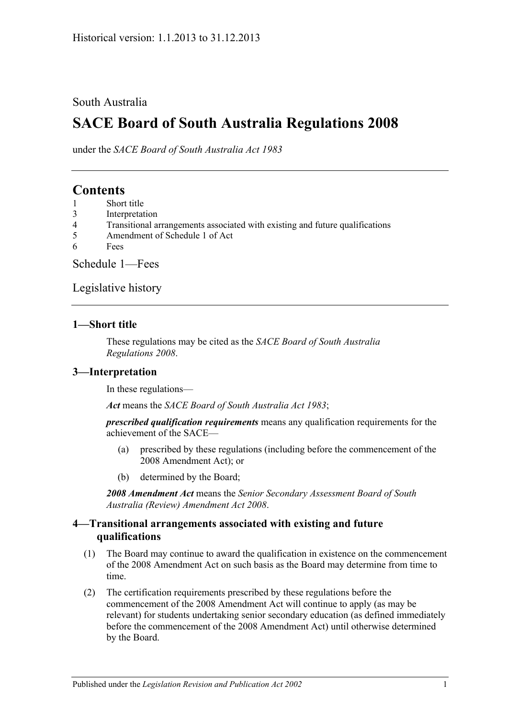#### South Australia

# **SACE Board of South Australia Regulations 2008**

under the *SACE Board of South Australia Act 1983*

## **Contents**

- 1 [Short title](#page-0-0)
- 3 [Interpretation](#page-0-1)
- 4 [Transitional arrangements associated with existing and future qualifications](#page-0-2)
- 5 [Amendment of Schedule 1 of Act](#page-1-0)
- 6 [Fees](#page-1-1)

[Schedule](#page-1-2) 1—Fees

[Legislative history](#page-3-0)

#### <span id="page-0-0"></span>**1—Short title**

These regulations may be cited as the *SACE Board of South Australia Regulations 2008*.

#### <span id="page-0-1"></span>**3—Interpretation**

In these regulations—

*Act* means the *[SACE Board of South Australia Act](http://www.legislation.sa.gov.au/index.aspx?action=legref&type=act&legtitle=SACE%20Board%20of%20South%20Australia%20Act%201983) 1983*;

*prescribed qualification requirements* means any qualification requirements for the achievement of the SACE—

- (a) prescribed by these regulations (including before the commencement of the 2008 Amendment Act); or
- (b) determined by the Board;

*2008 Amendment Act* means the *[Senior Secondary Assessment Board of South](http://www.legislation.sa.gov.au/index.aspx?action=legref&type=act&legtitle=Senior%20Secondary%20Assessment%20Board%20of%20South%20Australia%20(Review)%20Amendment%20Act%202008)  [Australia \(Review\) Amendment Act](http://www.legislation.sa.gov.au/index.aspx?action=legref&type=act&legtitle=Senior%20Secondary%20Assessment%20Board%20of%20South%20Australia%20(Review)%20Amendment%20Act%202008) 2008*.

#### <span id="page-0-2"></span>**4—Transitional arrangements associated with existing and future qualifications**

- (1) The Board may continue to award the qualification in existence on the commencement of the 2008 Amendment Act on such basis as the Board may determine from time to time.
- (2) The certification requirements prescribed by these regulations before the commencement of the 2008 Amendment Act will continue to apply (as may be relevant) for students undertaking senior secondary education (as defined immediately before the commencement of the 2008 Amendment Act) until otherwise determined by the Board.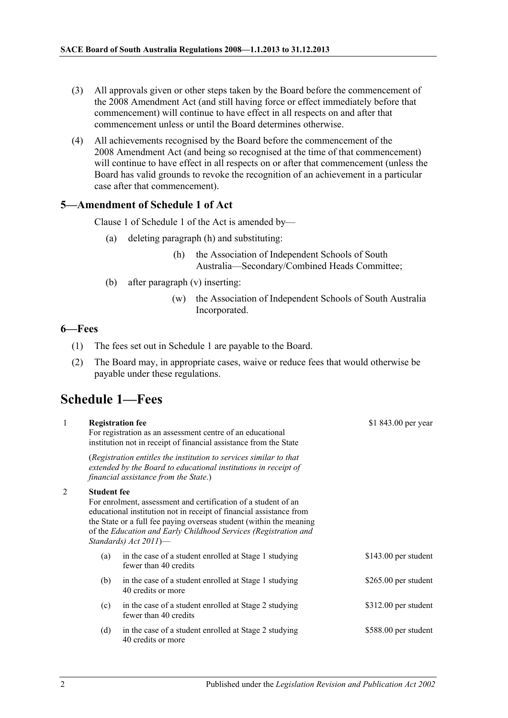- (3) All approvals given or other steps taken by the Board before the commencement of the 2008 Amendment Act (and still having force or effect immediately before that commencement) will continue to have effect in all respects on and after that commencement unless or until the Board determines otherwise.
- (4) All achievements recognised by the Board before the commencement of the 2008 Amendment Act (and being so recognised at the time of that commencement) will continue to have effect in all respects on or after that commencement (unless the Board has valid grounds to revoke the recognition of an achievement in a particular case after that commencement).

#### <span id="page-1-0"></span>**5—Amendment of Schedule 1 of Act**

Clause 1 of Schedule 1 of the Act is amended by—

- (a) deleting paragraph (h) and substituting:
	- (h) the Association of Independent Schools of South Australia—Secondary/Combined Heads Committee;
- (b) after paragraph (v) inserting:
	- (w) the Association of Independent Schools of South Australia Incorporated.

 $51.013.00$ 

#### <span id="page-1-1"></span>**6—Fees**

- (1) The fees set out in Schedule 1 are payable to the Board.
- (2) The Board may, in appropriate cases, waive or reduce fees that would otherwise be payable under these regulations.

## <span id="page-1-2"></span>**Schedule 1—Fees**

1 **Registration fee**

| $\mathbf{I}$ |                    | Registration fee<br>For registration as an assessment centre of an educational<br>institution not in receipt of financial assistance from the State                                                                                                                                                      | $$1843.00$ per year  |
|--------------|--------------------|----------------------------------------------------------------------------------------------------------------------------------------------------------------------------------------------------------------------------------------------------------------------------------------------------------|----------------------|
|              |                    | (Registration entitles the institution to services similar to that<br>extended by the Board to educational institutions in receipt of<br>financial assistance from the State.)                                                                                                                           |                      |
| 2            | <b>Student fee</b> | For enrolment, assessment and certification of a student of an<br>educational institution not in receipt of financial assistance from<br>the State or a full fee paying overseas student (within the meaning<br>of the Education and Early Childhood Services (Registration and<br>Standards) Act 2011)- |                      |
|              | (a)                | in the case of a student enrolled at Stage 1 studying<br>fewer than 40 credits                                                                                                                                                                                                                           | \$143.00 per student |
|              | (b)                | in the case of a student enrolled at Stage 1 studying<br>40 credits or more                                                                                                                                                                                                                              | \$265.00 per student |
|              | (c)                | in the case of a student enrolled at Stage 2 studying<br>fewer than 40 credits                                                                                                                                                                                                                           | \$312.00 per student |
|              | (d)                | in the case of a student enrolled at Stage 2 studying<br>40 credits or more                                                                                                                                                                                                                              | \$588.00 per student |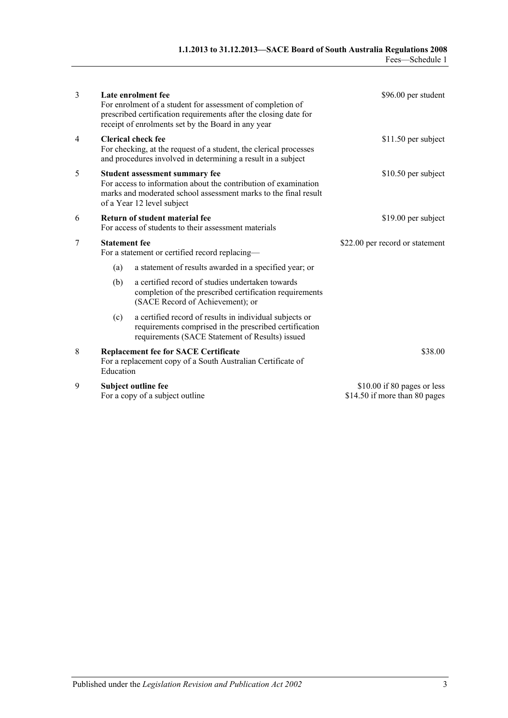| 3 |                                                                                                                                                                                                    | Late enrolment fee<br>For enrolment of a student for assessment of completion of<br>prescribed certification requirements after the closing date for<br>receipt of enrolments set by the Board in any year | \$96.00 per student                                          |
|---|----------------------------------------------------------------------------------------------------------------------------------------------------------------------------------------------------|------------------------------------------------------------------------------------------------------------------------------------------------------------------------------------------------------------|--------------------------------------------------------------|
| 4 | <b>Clerical check fee</b><br>For checking, at the request of a student, the clerical processes<br>and procedures involved in determining a result in a subject                                     |                                                                                                                                                                                                            | \$11.50 per subject                                          |
| 5 | Student assessment summary fee<br>For access to information about the contribution of examination<br>marks and moderated school assessment marks to the final result<br>of a Year 12 level subject |                                                                                                                                                                                                            | \$10.50 per subject                                          |
| 6 | Return of student material fee<br>For access of students to their assessment materials                                                                                                             |                                                                                                                                                                                                            | \$19.00 per subject                                          |
| 7 | <b>Statement</b> fee<br>For a statement or certified record replacing-                                                                                                                             |                                                                                                                                                                                                            | \$22.00 per record or statement                              |
|   | (a)                                                                                                                                                                                                | a statement of results awarded in a specified year; or                                                                                                                                                     |                                                              |
|   | (b)                                                                                                                                                                                                | a certified record of studies undertaken towards<br>completion of the prescribed certification requirements<br>(SACE Record of Achievement); or                                                            |                                                              |
|   | (c)                                                                                                                                                                                                | a certified record of results in individual subjects or<br>requirements comprised in the prescribed certification<br>requirements (SACE Statement of Results) issued                                       |                                                              |
| 8 | Education                                                                                                                                                                                          | <b>Replacement fee for SACE Certificate</b><br>For a replacement copy of a South Australian Certificate of                                                                                                 | \$38.00                                                      |
| 9 |                                                                                                                                                                                                    | Subject outline fee<br>For a copy of a subject outline                                                                                                                                                     | \$10.00 if 80 pages or less<br>\$14.50 if more than 80 pages |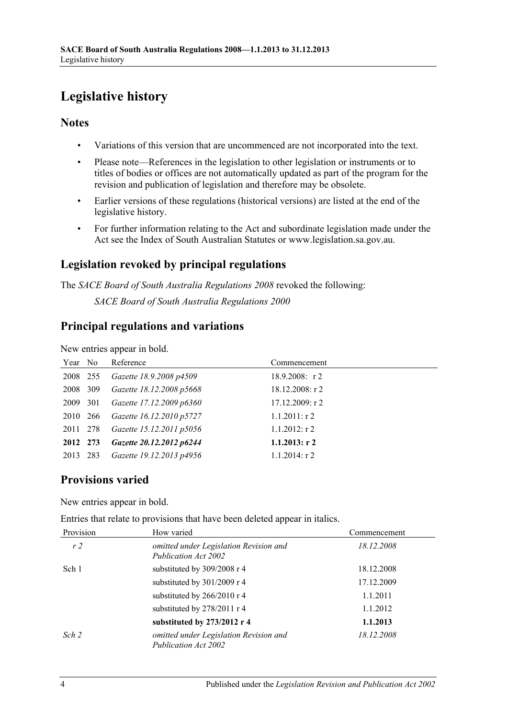# <span id="page-3-0"></span>**Legislative history**

### **Notes**

- Variations of this version that are uncommenced are not incorporated into the text.
- Please note—References in the legislation to other legislation or instruments or to titles of bodies or offices are not automatically updated as part of the program for the revision and publication of legislation and therefore may be obsolete.
- Earlier versions of these regulations (historical versions) are listed at the end of the legislative history.
- For further information relating to the Act and subordinate legislation made under the Act see the Index of South Australian Statutes or www.legislation.sa.gov.au.

## **Legislation revoked by principal regulations**

The *SACE Board of South Australia Regulations 2008* revoked the following:

*SACE Board of South Australia Regulations 2000*

## **Principal regulations and variations**

New entries appear in bold.

| Year No  | Reference                | Commencement      |
|----------|--------------------------|-------------------|
| 2008 255 | Gazette 18.9.2008 p4509  | $18.9.2008$ : r 2 |
| 2008 309 | Gazette 18.12.2008 p5668 | $18.12.2008:$ r 2 |
| 2009 301 | Gazette 17.12.2009 p6360 | 17.12.2009: r2    |
| 2010 266 | Gazette 16.12.2010 p5727 | $1.1.2011:$ r 2   |
| 2011 278 | Gazette 15.12.2011 p5056 | $1.1.2012$ : r 2  |
| 2012 273 | Gazette 20.12.2012 p6244 | $1.1.2013$ : r 2  |
| 2013 283 | Gazette 19.12.2013 p4956 | $1.1.2014$ : r 2  |

## **Provisions varied**

New entries appear in bold.

Entries that relate to provisions that have been deleted appear in italics.

| Provision      | How varied                                                     | Commencement |
|----------------|----------------------------------------------------------------|--------------|
| r <sub>2</sub> | omitted under Legislation Revision and<br>Publication Act 2002 | 18.12.2008   |
| Sch 1          | substituted by 309/2008 r 4                                    | 18.12.2008   |
|                | substituted by 301/2009 r 4                                    | 17.12.2009   |
|                | substituted by 266/2010 r 4                                    | 1.1.2011     |
|                | substituted by 278/2011 r 4                                    | 1.1.2012     |
|                | substituted by 273/2012 r 4                                    | 1.1.2013     |
| Sch 2          | omitted under Legislation Revision and<br>Publication Act 2002 | 18.12.2008   |